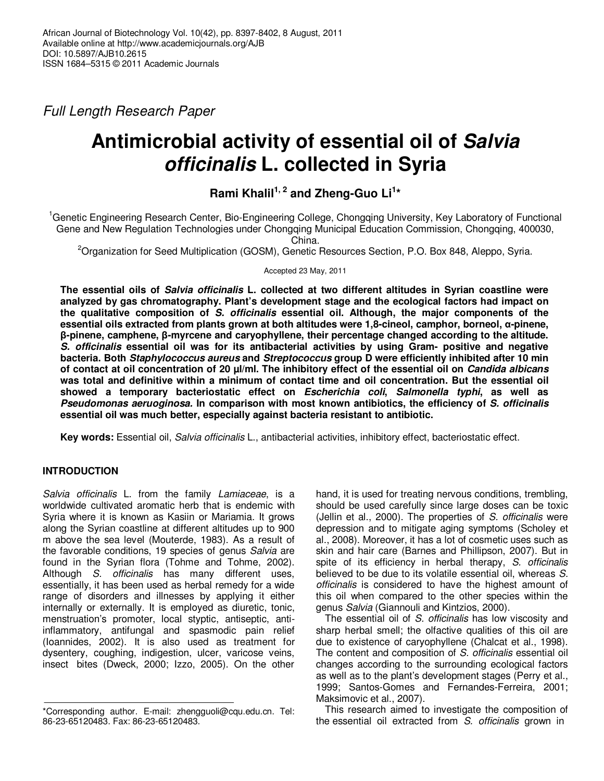*Full Length Research Paper* 

# **Antimicrobial activity of essential oil of Salvia officinalis L. collected in Syria**

**Rami Khalil1, 2 and Zheng-Guo Li<sup>1</sup> \*** 

<sup>1</sup>Genetic Engineering Research Center, Bio-Engineering College, Chongqing University, Key Laboratory of Functional Gene and New Regulation Technologies under Chongqing Municipal Education Commission, Chongqing, 400030,

China.

<sup>2</sup>Organization for Seed Multiplication (GOSM), Genetic Resources Section, P.O. Box 848, Aleppo, Syria.

Accepted 23 May, 2011

**The essential oils of Salvia officinalis L. collected at two different altitudes in Syrian coastline were analyzed by gas chromatography. Plant's development stage and the ecological factors had impact on the qualitative composition of S. officinalis essential oil. Although, the major components of the essential oils extracted from plants grown at both altitudes were 1,8-cineol, camphor, borneol, α-pinene, β-pinene, camphene, β-myrcene and caryophyllene, their percentage changed according to the altitude. S. officinalis essential oil was for its antibacterial activities by using Gram- positive and negative bacteria. Both Staphylococcus aureus and Streptococcus group D were efficiently inhibited after 10 min of contact at oil concentration of 20 µl/ml. The inhibitory effect of the essential oil on Candida albicans was total and definitive within a minimum of contact time and oil concentration. But the essential oil showed a temporary bacteriostatic effect on Escherichia coli, Salmonella typhi, as well as Pseudomonas aeruoginosa. In comparison with most known antibiotics, the efficiency of S. officinalis essential oil was much better, especially against bacteria resistant to antibiotic.** 

**Key words:** Essential oil, *Salvia officinalis* L., antibacterial activities, inhibitory effect, bacteriostatic effect.

## **INTRODUCTION**

 $\overline{\phantom{a}}$ 

*Salvia officinalis* L. from the family *Lamiaceae*, is a worldwide cultivated aromatic herb that is endemic with Syria where it is known as Kasiin or Mariamia. It grows along the Syrian coastline at different altitudes up to 900 m above the sea level (Mouterde, 1983). As a result of the favorable conditions, 19 species of genus *Salvia* are found in the Syrian flora (Tohme and Tohme, 2002). Although *S. officinalis* has many different uses, essentially, it has been used as herbal remedy for a wide range of disorders and illnesses by applying it either internally or externally. It is employed as diuretic, tonic, menstruation's promoter, local styptic, antiseptic, antiinflammatory, antifungal and spasmodic pain relief (Ioannides, 2002). It is also used as treatment for dysentery, coughing, indigestion, ulcer, varicose veins, insect bites (Dweck, 2000; Izzo, 2005). On the other

hand, it is used for treating nervous conditions, trembling, should be used carefully since large doses can be toxic (Jellin et al., 2000). The properties of *S. officinalis* were depression and to mitigate aging symptoms (Scholey et al., 2008). Moreover, it has a lot of cosmetic uses such as skin and hair care (Barnes and Phillipson, 2007). But in spite of its efficiency in herbal therapy, *S. officinalis* believed to be due to its volatile essential oil, whereas *S. officinalis* is considered to have the highest amount of this oil when compared to the other species within the genus *Salvia* (Giannouli and Kintzios, 2000).

The essential oil of *S. officinalis* has low viscosity and sharp herbal smell; the olfactive qualities of this oil are due to existence of caryophyllene (Chalcat et al., 1998). The content and composition of *S. officinalis* essential oil changes according to the surrounding ecological factors as well as to the plant's development stages (Perry et al., 1999; Santos-Gomes and Fernandes-Ferreira, 2001; Maksimovic et al., 2007).

This research aimed to investigate the composition of the essential oil extracted from *S. officinalis* grown in

<sup>\*</sup>Corresponding author. E-mail: zhengguoli@cqu.edu.cn. Tel: 86-23-65120483. Fax: 86-23-65120483.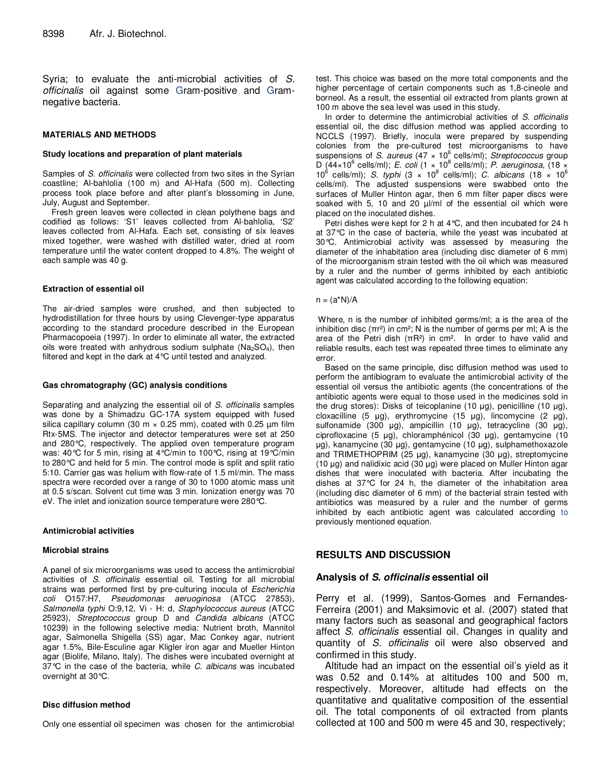Syria; to evaluate the anti-microbial activities of *S. officinalis* oil against some Gram-positive and Gramnegative bacteria.

#### **MATERIALS AND METHODS**

#### **Study locations and preparation of plant materials**

Samples of *S. officinalis* were collected from two sites in the Syrian coastline; Al-bahlolia (100 m) and Al-Hafa (500 m). Collecting process took place before and after plant's blossoming in June, July, August and September.

Fresh green leaves were collected in clean polythene bags and codified as follows: 'S1' leaves collected from Al-bahlolia, 'S2' leaves collected from Al-Hafa. Each set, consisting of six leaves mixed together, were washed with distilled water, dried at room temperature until the water content dropped to 4.8%. The weight of each sample was 40 g.

#### **Extraction of essential oil**

The air-dried samples were crushed, and then subjected to hydrodistillation for three hours by using Clevenger-type apparatus according to the standard procedure described in the European Pharmacopoeia (1997). In order to eliminate all water, the extracted oils were treated with anhydrous sodium sulphate ( $Na<sub>2</sub>SO<sub>4</sub>$ ), then filtered and kept in the dark at 4°C until tested and analyzed.

#### **Gas chromatography (GC) analysis conditions**

Separating and analyzing the essential oil of *S. officinalis* samples was done by a Shimadzu GC-17A system equipped with fused silica capillary column (30 m  $\times$  0.25 mm), coated with 0.25 µm film Rtx-5MS. The injector and detector temperatures were set at 250 and 280°C, respectively. The applied oven temperature program was: 40°C for 5 min, rising at 4°C/min to 100°C, rising at 19°C/min to 280°C and held for 5 min. The control mode is split and split ratio 5:10. Carrier gas was helium with flow-rate of 1.5 ml/min. The mass spectra were recorded over a range of 30 to 1000 atomic mass unit at 0.5 s/scan. Solvent cut time was 3 min. Ionization energy was 70 eV. The inlet and ionization source temperature were 280°C.

#### **Antimicrobial activities**

#### **Microbial strains**

A panel of six microorganisms was used to access the antimicrobial activities of *S. officinalis* essential oil. Testing for all microbial strains was performed first by pre-culturing inocula of *Escherichia coli* O157:H7, *Pseudomonas aeruoginosa* (ATCC 27853), *Salmonella typhi* O:9,12, Vi - H: d, *Staphylococcus aureus* (ATCC 25923)*, Streptococcus* group D and *Candida albicans* (ATCC 10239) in the following selective media: Nutrient broth, Mannitol agar, Salmonella Shigella (SS) agar, Mac Conkey agar, nutrient agar 1.5%, Bile-Esculine agar Kligler iron agar and Mueller Hinton agar (Biolife, Milano, Italy). The dishes were incubated overnight at 37°C in the case of the bacteria, while *C. albicans* was incubated overnight at 30°C.

#### **Disc diffusion method**

Only one essential oil specimen was chosen for the antimicrobial

test. This choice was based on the more total components and the higher percentage of certain components such as 1,8-cineole and borneol. As a result, the essential oil extracted from plants grown at 100 m above the sea level was used in this study.

In order to determine the antimicrobial activities of *S. officinalis* essential oil, the disc diffusion method was applied according to NCCLS (1997). Briefly, inocula were prepared by suspending colonies from the pre-cultured test microorganisms to have suspensions of *S. aureus* (47 × 10<sup>6</sup> cells/ml); *Streptococcus* group D (44×10<sup>6</sup> cells/ml); *E. coli* (1 × 10<sup>8</sup> cells/ml); *P. aeruginosa*, (18 × 10<sup>6</sup> cells/ml); *S. typhi*  $(3 \times 10^8 \text{ cells/ml})$ ; *C. albicans*  $(18 \times 10^6 \text{ s})$ cells/ml). The adjusted suspensions were swabbed onto the surfaces of Muller Hinton agar, then 6 mm filter paper discs were soaked with 5, 10 and 20  $\mu$ /ml of the essential oil which were placed on the inoculated dishes.

Petri dishes were kept for 2 h at 4°C, and then incubated for 24 h at 37°C in the case of bacteria, while the yeast was incubated at 30°C. Antimicrobial activity was assessed by measuring the diameter of the inhabitation area (including disc diameter of 6 mm) of the microorganism strain tested with the oil which was measured by a ruler and the number of germs inhibited by each antibiotic agent was calculated according to the following equation:

#### $n = (a^*N)/A$

 Where, n is the number of inhibited germs/ml; a is the area of the inhibition disc ( $πr²$ ) in cm<sup>2</sup>; N is the number of germs per ml; A is the area of the Petri dish  $(\pi R^2)$  in cm<sup>2</sup>. In order to have valid and reliable results, each test was repeated three times to eliminate any error.

Based on the same principle, disc diffusion method was used to perform the antibiogram to evaluate the antimicrobial activity of the essential oil versus the antibiotic agents (the concentrations of the antibiotic agents were equal to those used in the medicines sold in the drug stores): Disks of teicoplanine (10 µg), penicilline (10 µg), cloxacilline (5 µg), erythromycine (15 µg), lincomycine (2 µg), sulfonamide (300 µg), ampicillin (10 µg), tetracycline (30 µg), ciprofloxacine (5 µg), chloramphénicol (30 µg), gentamycine (10 µg), kanamycine (30 µg), gentamycine (10 µg), sulphamethoxazole and TRIMETHOPRIM (25 µg), kanamycine (30 µg), streptomycine (10 µg) and nalidixic acid (30 µg) were placed on Muller Hinton agar dishes that were inoculated with bacteria. After incubating the dishes at 37°C for 24 h, the diameter of the inhabitation area (including disc diameter of 6 mm) of the bacterial strain tested with antibiotics was measured by a ruler and the number of germs inhibited by each antibiotic agent was calculated according to previously mentioned equation.

### **RESULTS AND DISCUSSION**

#### **Analysis of S. officinalis essential oil**

Perry et al. (1999), Santos-Gomes and Fernandes-Ferreira (2001) and Maksimovic et al. (2007) stated that many factors such as seasonal and geographical factors affect *S. officinalis* essential oil. Changes in quality and quantity of *S. officinalis* oil were also observed and confirmed in this study.

Altitude had an impact on the essential oil's yield as it was 0.52 and 0.14% at altitudes 100 and 500 m, respectively. Moreover, altitude had effects on the quantitative and qualitative composition of the essential oil. The total components of oil extracted from plants collected at 100 and 500 m were 45 and 30, respectively;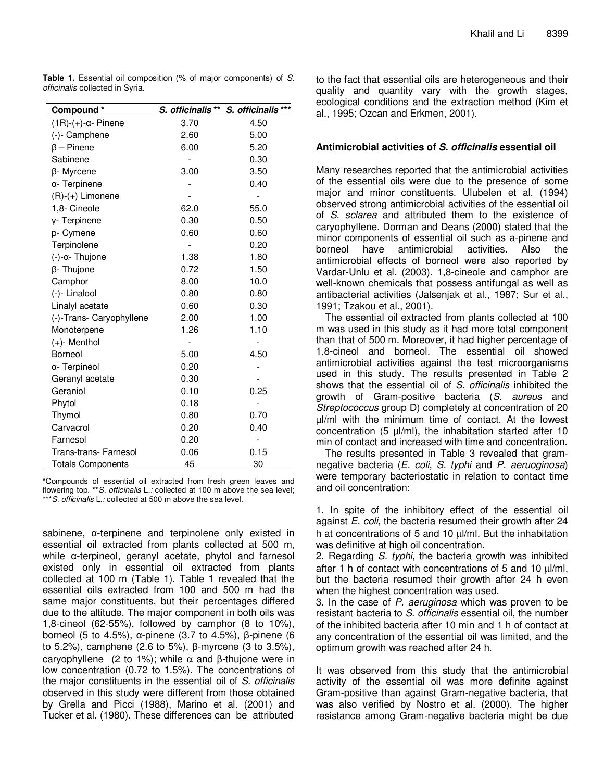**Table 1.** Essential oil composition (% of major components) of *S. officinalis* collected in Syria.

| Compound*                      |      | S. officinalis ** S. officinalis *** |
|--------------------------------|------|--------------------------------------|
| $(1R)-(+)$ - $\alpha$ - Pinene | 3.70 | 4.50                                 |
| (-)- Camphene                  | 2.60 | 5.00                                 |
| $\beta$ – Pinene               | 6.00 | 5.20                                 |
| Sabinene                       |      | 0.30                                 |
| β-Myrcene                      | 3.00 | 3.50                                 |
| α- Terpinene                   |      | 0.40                                 |
| (R)-(+) Limonene               |      |                                      |
| 1,8- Cineole                   | 62.0 | 55.0                                 |
| γ- Terpinene                   | 0.30 | 0.50                                 |
| p- Cymene                      | 0.60 | 0.60                                 |
| Terpinolene                    |      | 0.20                                 |
| (-)-α- Thujone                 | 1.38 | 1.80                                 |
| β- Thujone                     | 0.72 | 1.50                                 |
| Camphor                        | 8.00 | 10.0                                 |
| (-)- Linalool                  | 0.80 | 0.80                                 |
| Linalyl acetate                | 0.60 | 0.30                                 |
| (-)-Trans- Caryophyllene       | 2.00 | 1.00                                 |
| Monoterpene                    | 1.26 | 1.10                                 |
| (+)- Menthol                   |      |                                      |
| Borneol                        | 5.00 | 4.50                                 |
| α- Terpineol                   | 0.20 |                                      |
| Geranyl acetate                | 0.30 |                                      |
| Geraniol                       | 0.10 | 0.25                                 |
| Phytol                         | 0.18 |                                      |
| Thymol                         | 0.80 | 0.70                                 |
| Carvacrol                      | 0.20 | 0.40                                 |
| Farnesol                       | 0.20 |                                      |
| <b>Trans-trans- Farnesol</b>   | 0.06 | 0.15                                 |
| <b>Totals Components</b>       | 45   | 30                                   |

**\***Compounds of essential oil extracted from fresh green leaves and flowering top. **\*\****S. officinalis* L.*:* collected at 100 m above the sea level; \*\*\**S. officinalis* L.*:* collected at 500 m above the sea level.

sabinene, α-terpinene and terpinolene only existed in essential oil extracted from plants collected at 500 m, while α-terpineol, geranyl acetate, phytol and farnesol existed only in essential oil extracted from plants collected at 100 m (Table 1). Table 1 revealed that the essential oils extracted from 100 and 500 m had the same major constituents, but their percentages differed due to the altitude. The major component in both oils was 1,8-cineol (62-55%), followed by camphor (8 to 10%), borneol (5 to 4.5%), α-pinene (3.7 to 4.5%), β-pinene (6 to 5.2%), camphene (2.6 to 5%), β-myrcene (3 to 3.5%), caryophyllene (2 to 1%); while  $\alpha$  and β-thujone were in low concentration (0.72 to 1.5%). The concentrations of the major constituents in the essential oil of *S. officinalis* observed in this study were different from those obtained by Grella and Picci (1988), Marino et al. (2001) and Tucker et al. (1980). These differences can be attributed to the fact that essential oils are heterogeneous and their quality and quantity vary with the growth stages, ecological conditions and the extraction method (Kim et al., 1995; Ozcan and Erkmen, 2001).

## **Antimicrobial activities of S. officinalis essential oil**

Many researches reported that the antimicrobial activities of the essential oils were due to the presence of some major and minor constituents. Ulubelen et al. (1994) observed strong antimicrobial activities of the essential oil of *S. sclarea* and attributed them to the existence of caryophyllene. Dorman and Deans (2000) stated that the minor components of essential oil such as a-pinene and borneol have antimicrobial activities. Also the antimicrobial effects of borneol were also reported by Vardar-Unlu et al. (2003). 1,8-cineole and camphor are well-known chemicals that possess antifungal as well as antibacterial activities (Jalsenjak et al., 1987; Sur et al., 1991; Tzakou et al., 2001).

The essential oil extracted from plants collected at 100 m was used in this study as it had more total component than that of 500 m. Moreover, it had higher percentage of 1,8-cineol and borneol. The essential oil showed antimicrobial activities against the test microorganisms used in this study. The results presented in Table 2 shows that the essential oil of *S. officinalis* inhibited the growth of Gram-positive bacteria (*S. aureus* and *Streptococcus* group D) completely at concentration of 20 µl/ml with the minimum time of contact. At the lowest concentration (5  $\mu$ /ml), the inhabitation started after 10 min of contact and increased with time and concentration.

The results presented in Table 3 revealed that gramnegative bacteria (*E. coli*, *S. typhi* and *P. aeruoginosa*) were temporary bacteriostatic in relation to contact time and oil concentration:

1. In spite of the inhibitory effect of the essential oil against *E. coli*, the bacteria resumed their growth after 24 h at concentrations of 5 and 10 µl/ml. But the inhabitation was definitive at high oil concentration.

2. Regarding *S. typhi*, the bacteria growth was inhibited after 1 h of contact with concentrations of 5 and 10 µl/ml, but the bacteria resumed their growth after 24 h even when the highest concentration was used.

3. In the case of *P. aeruginosa* which was proven to be resistant bacteria to *S. officinalis* essential oil, the number of the inhibited bacteria after 10 min and 1 h of contact at any concentration of the essential oil was limited, and the optimum growth was reached after 24 h.

It was observed from this study that the antimicrobial activity of the essential oil was more definite against Gram-positive than against Gram-negative bacteria, that was also verified by Nostro et al. (2000). The higher resistance among Gram-negative bacteria might be due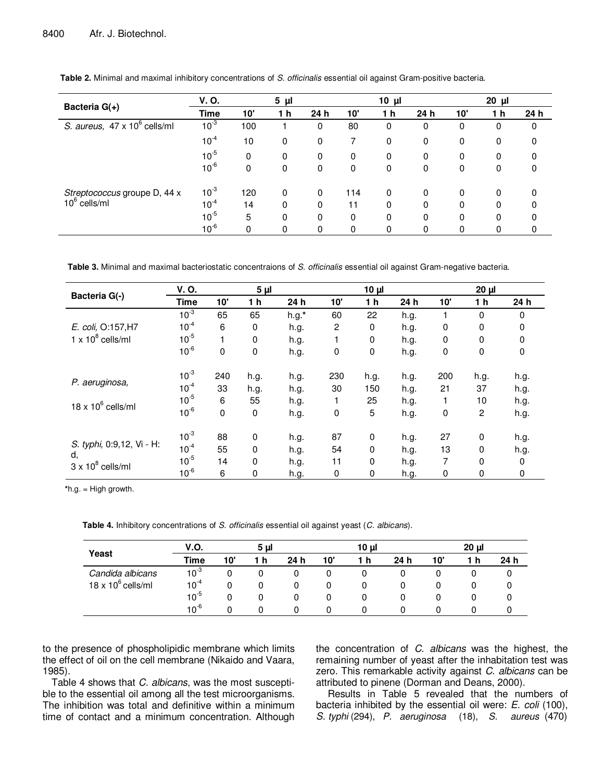|                                          | V.O.        |             | 5 <sub>µ</sub> |     |     | $10 \mu$       |     |     | 20 µl |     |
|------------------------------------------|-------------|-------------|----------------|-----|-----|----------------|-----|-----|-------|-----|
| Bacteria G(+)                            | <b>Time</b> | 10'         | 1 <sub>h</sub> | 24h | 10' | 1 <sub>h</sub> | 24h | 10' | 1 h   | 24h |
| S. aureus, 47 x 10 <sup>6</sup> cells/ml | $10^{-3}$   | 100         |                | 0   | 80  | 0              | 0   | 0   | 0     | 0   |
|                                          | $10^{-4}$   | 10          | 0              | 0   | 7   | $\mathbf 0$    | 0   | 0   | 0     | 0   |
|                                          | $10^{-5}$   | $\mathbf 0$ | 0              | 0   | 0   | 0              | 0   | 0   | 0     | 0   |
|                                          | $10^{-6}$   | 0           | 0              | 0   | 0   | $\mathbf 0$    | 0   | 0   | 0     | 0   |
| Streptococcus groupe D, 44 x             | $10^{-3}$   | 120         | 0              | 0   | 114 | 0              | 0   | 0   | 0     | 0   |
| $10^6$ cells/ml                          | $10^{-4}$   | 14          | 0              | 0   | 11  | $\mathbf 0$    | 0   | 0   | 0     | 0   |
|                                          | $10^{-5}$   | 5           | $\Omega$       | 0   | 0   | 0              | 0   | 0   | 0     | 0   |
|                                          | $10^{-6}$   | 0           | 0              | 0   | 0   | 0              | 0   | 0   | 0     | 0   |

**Table 2.** Minimal and maximal inhibitory concentrations of *S. officinalis* essential oil against Gram-positive bacteria.

**Table 3.** Minimal and maximal bacteriostatic concentraions of *S. officinalis* essential oil against Gram-negative bacteria.

|                                | V.O.        |           | $5\mu$      |          |                | $10 \mu$    |      |             | $20 \mu$       |             |
|--------------------------------|-------------|-----------|-------------|----------|----------------|-------------|------|-------------|----------------|-------------|
| Bacteria G(-)                  | <b>Time</b> | 10'       | 1 h         | 24h      | 10'            | 1 h         | 24 h | 10'         | 1 h            | 24 h        |
|                                | $10^{-3}$   | 65        | 65          | $h.g.$ * | 60             | 22          | h.g. |             | $\mathbf 0$    | $\mathbf 0$ |
| E. coli, O:157, H7             | $10^{-4}$   | 6         | 0           | h.g.     | $\overline{c}$ | 0           | h.g. | $\mathbf 0$ | $\mathbf 0$    | 0           |
| $1 \times 10^8$ cells/ml       | $10^{-5}$   |           | 0           | h.g.     |                | 0           | h.g. | 0           | $\mathbf 0$    | 0           |
|                                | $10^{-6}$   | 0         | 0           | h.g.     | 0              | $\mathbf 0$ | h.g. | 0           | 0              | 0           |
|                                | $10^{-3}$   | 240       | h.g.        | h.g.     | 230            | h.g.        | h.g. | 200         | h.g.           | h.g.        |
| P. aeruginosa,                 | $10^{-4}$   | 33        | h.g.        | h.g.     | 30             | 150         | h.g. | 21          | 37             | h.g.        |
| $18 \times 10^6$ cells/ml      | $10^{-5}$   | 6         | 55          | h.g.     |                | 25          | h.g. |             | 10             | h.g.        |
|                                | $10^{-6}$   | $\pmb{0}$ | 0           | h.g.     | 0              | 5           | h.g. | 0           | $\overline{c}$ | h.g.        |
|                                | $10^{-3}$   | 88        | 0           | h.g.     | 87             | $\mathbf 0$ | h.g. | 27          | $\pmb{0}$      | h.g.        |
| S. typhi, 0:9,12, Vi - H:      | $10^{-4}$   | 55        | $\mathbf 0$ | h.g.     | 54             | $\mathbf 0$ | h.g. | 13          | $\mathbf 0$    | h.g.        |
| d,<br>$3 \times 10^8$ cells/ml | $10^{-5}$   | 14        | $\mathbf 0$ | h.g.     | 11             | 0           | h.g. | 7           | $\mathbf 0$    | 0           |
|                                | $10^{-6}$   | 6         | 0           | h.g.     | 0              | 0           | h.g. | 0           | 0              | 0           |

**\***h.g. = High growth.

**Table 4.** Inhibitory concentrations of *S. officinalis* essential oil against yeast (*C. albicans*).

|                           | <b>V.O.</b><br>5 µl |          |     |                 | 10 µl |     | 20 <sub>µ</sub> |     |     |      |
|---------------------------|---------------------|----------|-----|-----------------|-------|-----|-----------------|-----|-----|------|
| Yeast                     | Time                | 10'      | 1 h | 24 <sub>h</sub> | 10'   | 1 h | 24 h            | 10' | 1 h | 24 h |
| Candida albicans          | $10^{-3}$           | 0        | 0   | 0               | 0     |     |                 |     |     | υ    |
| $18 \times 10^6$ cells/ml | $10^{-4}$           | $\Omega$ | 0   | 0               | 0     | 0   |                 |     |     | 0    |
|                           | $10^{-5}$           |          | 0   | 0               | 0     | 0   |                 |     | 0   | 0    |
|                           | $10^{-6}$           |          | 0   | 0               | 0     | 0   |                 |     |     |      |

to the presence of phospholipidic membrane which limits the effect of oil on the cell membrane (Nikaido and Vaara, 1985).

Table 4 shows that *C. albicans*, was the most susceptible to the essential oil among all the test microorganisms. The inhibition was total and definitive within a minimum time of contact and a minimum concentration. Although the concentration of *C. albicans* was the highest, the remaining number of yeast after the inhabitation test was zero. This remarkable activity against *C. albicans* can be attributed to pinene (Dorman and Deans, 2000).

 Results in Table 5 revealed that the numbers of bacteria inhibited by the essential oil were: *E. coli* (100), *S. typhi* (294), *P. aeruginosa* (18), *S. aureus* (470)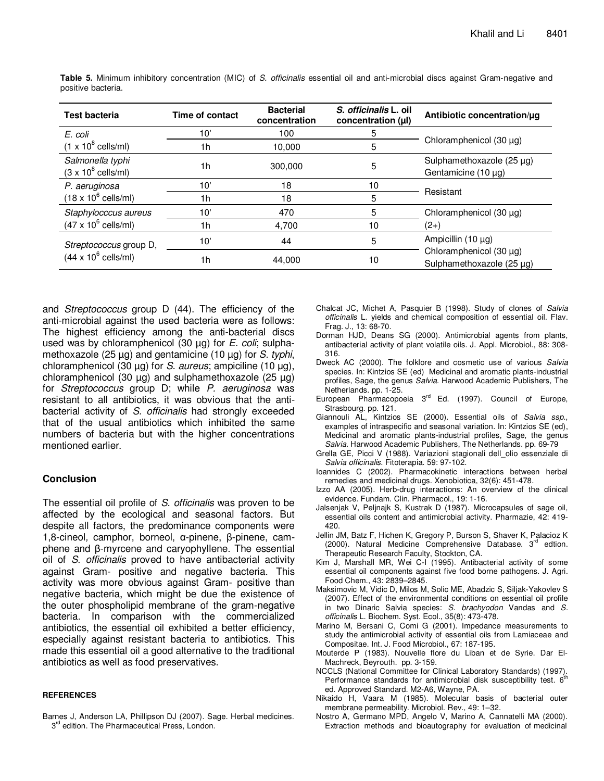| <b>Test bacteria</b>                                          | Time of contact | <b>Bacterial</b><br>concentration | S. <i>officinalis</i> L. oil<br>concentration (µl) | Antibiotic concentration/ug                               |
|---------------------------------------------------------------|-----------------|-----------------------------------|----------------------------------------------------|-----------------------------------------------------------|
| E. coli                                                       | 10'             | 100                               | 5                                                  |                                                           |
| $(1 \times 10^8 \text{ cells/ml})$                            | 1h              | 10,000                            | 5                                                  | Chloramphenicol $(30 \mu g)$                              |
| Salmonella typhi<br>$(3 \times 10^8 \text{ cells/ml})$        | 1 <sub>h</sub>  | 300,000                           | 5                                                  | Sulphamethoxazole (25 µg)<br>Gentamicine $(10 \mu g)$     |
| P. aeruginosa<br>$(18 \times 10^6 \text{ cells/ml})$          | 10'             | 18                                | 10                                                 |                                                           |
|                                                               | 1h              | 18                                | 5                                                  | Resistant                                                 |
| Staphylocccus aureus                                          | 10'             | 470                               | 5                                                  | Chloramphenicol $(30 \mu g)$                              |
| $(47 \times 10^6 \text{ cells/ml})$                           | 1h              | 4,700                             | 10                                                 | (2+)                                                      |
| Streptococcus group D,<br>$(44 \times 10^6 \text{ cells/ml})$ | 10'             | 44                                | 5                                                  | Ampicillin (10 µg)                                        |
|                                                               | 1h              | 44,000                            | 10                                                 | Chloramphenicol $(30 \mu g)$<br>Sulphamethoxazole (25 µg) |

**Table 5.** Minimum inhibitory concentration (MIC) of *S. officinalis* essential oil and anti-microbial discs against Gram-negative and positive bacteria.

and *Streptococcus* group D (44). The efficiency of the anti-microbial against the used bacteria were as follows: The highest efficiency among the anti-bacterial discs used was by chloramphenicol (30 µg) for *E. coli*; sulphamethoxazole (25 µg) and gentamicine (10 µg) for *S. typhi*, chloramphenicol (30 µg) for *S. aureus*; ampiciline (10 µg), chloramphenicol (30  $\mu$ g) and sulphamethoxazole (25  $\mu$ g) for *Streptococcus* group D; while *P. aeruginosa* was resistant to all antibiotics, it was obvious that the antibacterial activity of *S. officinalis* had strongly exceeded that of the usual antibiotics which inhibited the same numbers of bacteria but with the higher concentrations mentioned earlier.

## **Conclusion**

The essential oil profile of *S. officinalis* was proven to be affected by the ecological and seasonal factors. But despite all factors, the predominance components were 1,8-cineol*,* camphor, borneol, α-pinene, β-pinene, camphene and β-myrcene and caryophyllene. The essential oil of *S. officinalis* proved to have antibacterial activity against Gram- positive and negative bacteria. This activity was more obvious against Gram- positive than negative bacteria, which might be due the existence of the outer phospholipid membrane of the gram-negative bacteria. In comparison with the commercialized antibiotics, the essential oil exhibited a better efficiency, especially against resistant bacteria to antibiotics. This made this essential oil a good alternative to the traditional antibiotics as well as food preservatives.

#### **REFERENCES**

Barnes J, Anderson LA, Phillipson DJ (2007). Sage. Herbal medicines. 3<sup>rd</sup> edition. The Pharmaceutical Press, London.

- Chalcat JC, Michet A, Pasquier B (1998). Study of clones of *Salvia officinalis* L. yields and chemical composition of essential oil. Flav. Frag. J., 13: 68-70.
- Dorman HJD, Deans SG (2000). Antimicrobial agents from plants, antibacterial activity of plant volatile oils. J. Appl. Microbiol., 88: 308- 316.
- Dweck AC (2000). The folklore and cosmetic use of various *Salvia* species. In: Kintzios SE (ed) Medicinal and aromatic plants-industrial profiles, Sage, the genus *Salvia*. Harwood Academic Publishers, The Netherlands. pp. 1-25.
- European Pharmacopoeia  $3<sup>rd</sup>$  Ed. (1997). Council of Europe, Strasbourg. pp. 121.
- Giannouli AL, Kintzios SE (2000). Essential oils of *Salvia ssp*., examples of intraspecific and seasonal variation. In: Kintzios SE (ed), Medicinal and aromatic plants-industrial profiles, Sage, the genus *Salvia*. Harwood Academic Publishers, The Netherlands. pp. 69-79
- Grella GE, Picci V (1988). Variazioni stagionali dell\_olio essenziale di *Salvia officinalis*. Fitoterapia. 59: 97-102.
- Ioannides C (2002). Pharmacokinetic interactions between herbal remedies and medicinal drugs. Xenobiotica, 32(6): 451-478.
- Izzo AA (2005). Herb-drug interactions: An overview of the clinical evidence. Fundam. Clin. Pharmacol., 19: 1-16.
- Jalsenjak V, Peljnajk S, Kustrak D (1987). Microcapsules of sage oil, essential oils content and antimicrobial activity. Pharmazie, 42: 419- 420.
- Jellin JM, Batz F, Hichen K, Gregory P, Burson S, Shaver K, Palacioz K  $(2000)$ . Natural Medicine Comprehensive Database.  $3<sup>rd</sup>$  edtion. Therapeutic Research Faculty, Stockton, CA.
- Kim J, Marshall MR, Wei C-I (1995). Antibacterial activity of some essential oil components against five food borne pathogens. J. Agri. Food Chem., 43: 2839–2845.
- Maksimovic M, Vidic D, Milos M, Solic ME, Abadzic S, Siljak-Yakovlev S (2007). Effect of the environmental conditions on essential oil profile in two Dinaric Salvia species: *S. brachyodon* Vandas and *S. officinalis* L. Biochem. Syst. Ecol., 35(8): 473-478.
- Marino M, Bersani C, Comi G (2001). Impedance measurements to study the antimicrobial activity of essential oils from Lamiaceae and Compositae. Int. J. Food Microbiol., 67: 187-195.
- Mouterde P (1983). Nouvelle flore du Liban et de Syrie. Dar El-Machreck, Beyrouth. pp. 3-159.
- NCCLS (National Committee for Clinical Laboratory Standards) (1997). Performance standards for antimicrobial disk susceptibility test. 6<sup>th</sup> ed. Approved Standard. M2-A6, Wayne, PA.
- Nikaido H, Vaara M (1985). Molecular basis of bacterial outer membrane permeability. Microbiol. Rev., 49: 1–32.
- Nostro A, Germano MPD, Angelo V, Marino A, Cannatelli MA (2000). Extraction methods and bioautography for evaluation of medicinal